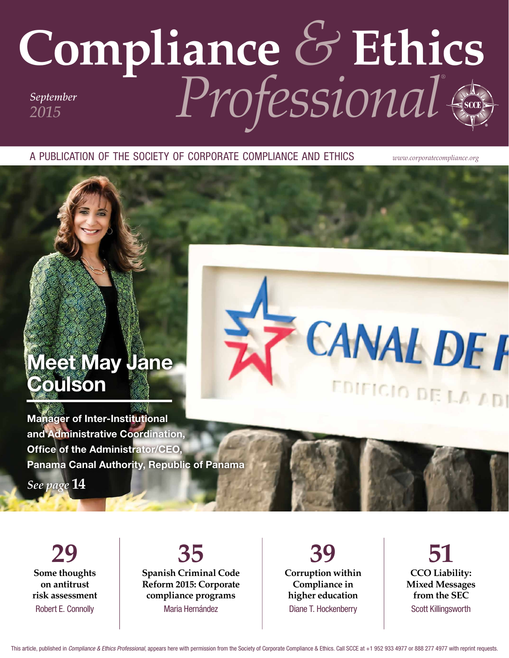# **Compliance** *&* **Ethics** *Professional® September 2015*

A PUBLICATION OF THE SOCIETY OF CORPORATE COMPLIANCE AND ETHICS *www.corporatecompliance.org*

# Meet May Jane Coulson



Manager of Inter-Institutional and Administrative Coordination, Office of the Administrator/CEO, Panama Canal Authority, Republic of Panama

*See page* **14**

**29 Some thoughts on antitrust risk assessment** Robert E. Connolly

**35 Spanish Criminal Code Reform 2015: Corporate compliance programs** Maria Hernández

**39 Corruption within Compliance in higher education** Diane T. Hockenberry

**51 CCO Liability: Mixed Messages from the SEC** Scott Killingsworth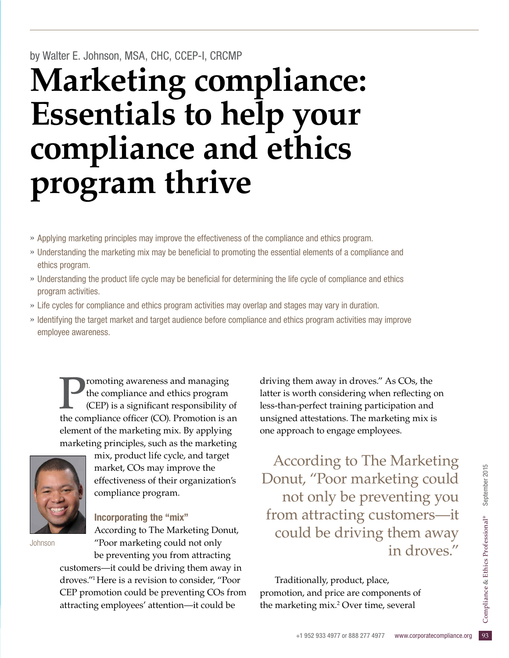### by Walter E. Johnson, MSA, CHC, CCEP-I, CRCMP

# **Marketing compliance: Essentials to help your compliance and ethics program thrive**

- » Applying marketing principles may improve the effectiveness of the compliance and ethics program.
- » Understanding the marketing mix may be benefcial to promoting the essential elements of a compliance and ethics program.
- » Understanding the product life cycle may be beneficial for determining the life cycle of compliance and ethics program activities.
- » Life cycles for compliance and ethics program activities may overlap and stages may vary in duration.
- » Identifying the target market and target audience before compliance and ethics program activities may improve employee awareness.

**Promoting awareness and managing<br>the compliance and ethics program<br>the compliance officer**  $(CO)$ **.** Promotion is a the compliance and ethics program (CEP) is a significant responsibility of the compliance officer (CO). Promotion is an element of the marketing mix. By applying marketing principles, such as the marketing



Johnson

mix, product life cycle, and target market, COs may improve the effectiveness of their organization's compliance program.

### Incorporating the "mix"

attracting employees' attention—it could be

According to The Marketing Donut, "Poor marketing could not only be preventing you from attracting customers—it could be driving them away in droves."1 Here is a revision to consider, "Poor CEP promotion could be preventing COs from driving them away in droves." As COs, the latter is worth considering when refecting on less-than-perfect training participation and unsigned attestations. The marketing mix is one approach to engage employees.

t, "Poor marketing could<br>at only be preventing you<br>attracting customers—it<br>ald be driving them away<br>in droves."<br>itionally, product, place,<br>an, and price are components of<br>teting mix.<sup>2</sup> Over time, several<br>and the several<br>t According to The Marketing Donut, "Poor marketing could not only be preventing you from attracting customers—it could be driving them away in droves."

Traditionally, product, place, promotion, and price are components of the marketing mix.2 Over time, several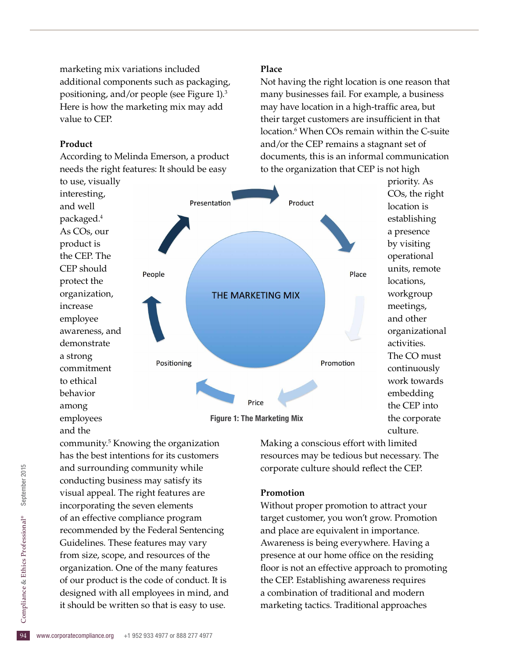marketing mix variations included additional components such as packaging, positioning, and/or people (see Figure 1).3 Here is how the marketing mix may add value to CEP.

### **Product**

According to Melinda Emerson, a product needs the right features: It should be easy

to use, visually interesting, and well packaged.4 As COs, our product is the CEP. The CEP should protect the organization, increase employee awareness, and demonstrate a strong commitment to ethical behavior among employees and the

# Presentation Product People Place THE MARKETING MIX Positioning Promotion Price Figure 1: The Marketing Mix

**Place**

Not having the right location is one reason that many businesses fail. For example, a business may have location in a high-traffic area, but their target customers are insufficient in that location.<sup>6</sup> When COs remain within the C-suite and/or the CEP remains a stagnant set of documents, this is an informal communication to the organization that CEP is not high

> COs, the right location is establishing a presence by visiting operational units, remote locations, workgroup meetings, and other organizational activities. The CO must continuously work towards embedding the CEP into the corporate culture.

priority. As

designed with all employees in mind, and<br>it should be written so that is easy to use.<br> $\frac{1}{2}$ <br>www.corporatecompliance.org +1 952 933 4977 or 888 277 4977 community.5 Knowing the organization has the best intentions for its customers and surrounding community while conducting business may satisfy its visual appeal. The right features are incorporating the seven elements of an effective compliance program recommended by the Federal Sentencing Guidelines. These features may vary from size, scope, and resources of the organization. One of the many features of our product is the code of conduct. It is it should be written so that is easy to use.

Making a conscious effort with limited resources may be tedious but necessary. The corporate culture should refect the CEP.

### **Promotion**

Without proper promotion to attract your target customer, you won't grow. Promotion and place are equivalent in importance. Awareness is being everywhere. Having a presence at our home office on the residing floor is not an effective approach to promoting the CEP. Establishing awareness requires a combination of traditional and modern marketing tactics. Traditional approaches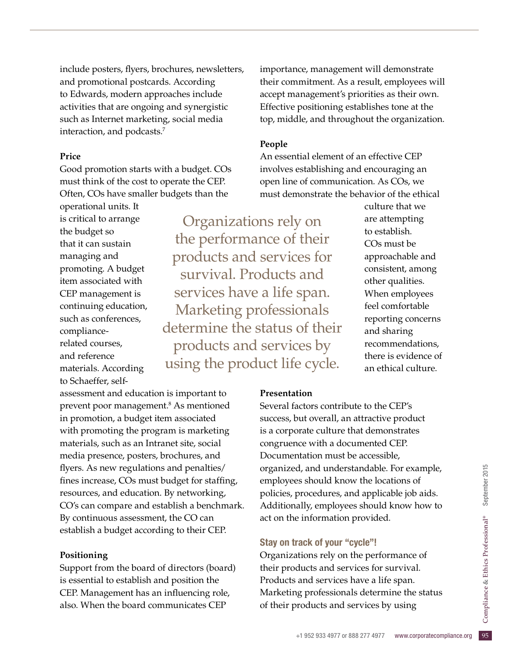include posters, fyers, brochures, newsletters, and promotional postcards. According to Edwards, modern approaches include activities that are ongoing and synergistic such as Internet marketing, social media interaction, and podcasts.7

### **Price**

Good promotion starts with a budget. COs must think of the cost to operate the CEP. Often, COs have smaller budgets than the

operational units. It is critical to arrange the budget so that it can sustain managing and promoting. A budget item associated with CEP management is continuing education, such as conferences, compliancerelated courses, and reference materials. According to Schaeffer, self-

Organizations rely on the performance of their products and services for survival. Products and services have a life span. Marketing professionals determine the status of their products and services by using the product life cycle.

assessment and education is important to prevent poor management.8 As mentioned in promotion, a budget item associated with promoting the program is marketing materials, such as an Intranet site, social media presence, posters, brochures, and fyers. As new regulations and penalties/ fines increase, COs must budget for staffing, resources, and education. By networking, CO's can compare and establish a benchmark. By continuous assessment, the CO can establish a budget according to their CEP.

### **Positioning**

Support from the board of directors (board) is essential to establish and position the CEP. Management has an infuencing role, also. When the board communicates CEP

importance, management will demonstrate their commitment. As a result, employees will accept management's priorities as their own. Effective positioning establishes tone at the top, middle, and throughout the organization.

### **People**

An essential element of an effective CEP involves establishing and encouraging an open line of communication. As COs, we must demonstrate the behavior of the ethical

> culture that we are attempting to establish. COs must be approachable and consistent, among other qualities. When employees feel comfortable reporting concerns and sharing recommendations, there is evidence of an ethical culture.

**Presentation**

Several factors contribute to the CEP's success, but overall, an attractive product is a corporate culture that demonstrates congruence with a documented CEP. Documentation must be accessible, organized, and understandable. For example, employees should know the locations of policies, procedures, and applicable job aids. Additionally, employees should know how to act on the information provided.

### Stay on track of your "cycle"!

d, and understandable. For example,<br>
es should know the locations of<br>
procedures, and applicable job aids.<br>
ally, employees should know how to<br>
e information provided.<br> **rack of your "cycle"!**<br>
ations rely on the performa Organizations rely on the performance of their products and services for survival. Products and services have a life span. Marketing professionals determine the status of their products and services by using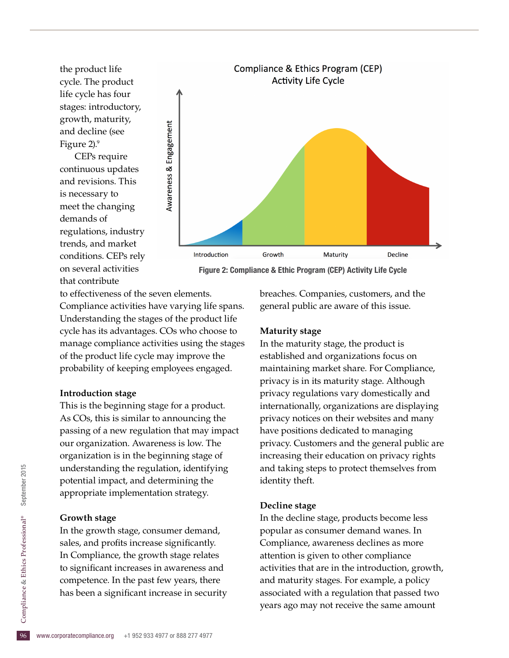the product life cycle. The product life cycle has four stages: introductory, growth, maturity, and decline (see Figure 2).<sup>9</sup>

CEPs require continuous updates and revisions. This is necessary to meet the changing demands of regulations, industry trends, and market conditions. CEPs rely on several activities that contribute



Figure 2: Compliance & Ethic Program (CEP) Activity Life Cycle

to effectiveness of the seven elements. Compliance activities have varying life spans. Understanding the stages of the product life cycle has its advantages. COs who choose to manage compliance activities using the stages of the product life cycle may improve the probability of keeping employees engaged.

### **[Introduction stage](http://productlifecyclestages.com/product-life-cycle-stages/introduction/)**

This is the beginning stage for a product. As COs, this is similar to announcing the passing of a new regulation that may impact our organization. Awareness is low. The organization is in the beginning stage of understanding the regulation, identifying potential impact, and determining the appropriate implementation strategy.

### **[Growth stage](http://productlifecyclestages.com/product-life-cycle-stages/growth/)**

has been a significant increase in security<br>  $\frac{6}{5}$ <br>
www.corporatecompliance.org +1 952 933 4977 or 888 277 4977 In the growth stage, consumer demand, sales, and profits increase significantly. In Compliance, the growth stage relates to signifcant increases in awareness and competence. In the past few years, there

breaches. Companies, customers, and the general public are aware of this issue.

### **[Maturity stage](http://productlifecyclestages.com/product-life-cycle-stages/maturity/)**

In the maturity stage, the product is established and organizations focus on maintaining market share. For Compliance, privacy is in its maturity stage. Although privacy regulations vary domestically and internationally, organizations are displaying privacy notices on their websites and many have positions dedicated to managing privacy. Customers and the general public are increasing their education on privacy rights and taking steps to protect themselves from identity theft.

### **[Decline stage](http://productlifecyclestages.com/product-life-cycle-stages/decline/)**

In the decline stage, products become less popular as consumer demand wanes. In Compliance, awareness declines as more attention is given to other compliance activities that are in the introduction, growth, and maturity stages. For example, a policy associated with a regulation that passed two years ago may not receive the same amount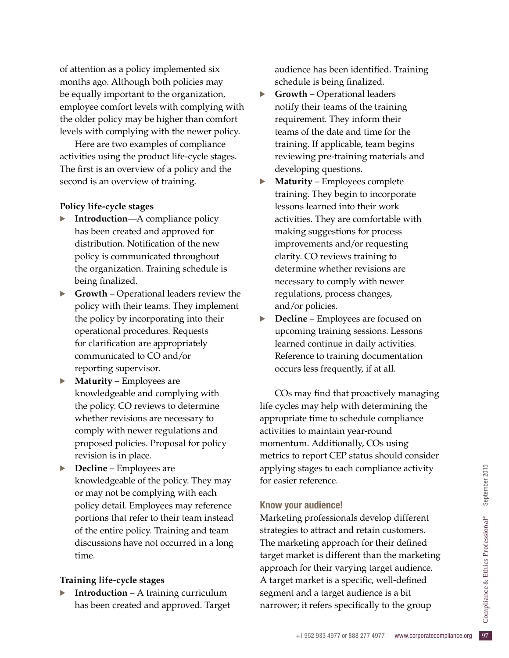of attention as a policy implemented six months ago. Although both policies may be equally important to the organization, employee comfort levels with complying with the older policy may be higher than comfort levels with complying with the newer policy.

Here are two examples of compliance activities using the product life-cycle stages. The first is an overview of a policy and the second is an overview of training.

### **Policy life-cycle stages**

- **Introduction—A** compliance policy has been created and approved for distribution. Notification of the new policy is communicated throughout the organization. Training schedule is being finalized.
- · **Growth** Operational leaders review the policy with their teams. They implement the policy by incorporating into their operational procedures. Requests for clarifcation are appropriately communicated to CO and/or reporting supervisor.
- **Maturity** Employees are knowledgeable and complying with the policy. CO reviews to determine whether revisions are necessary to comply with newer regulations and proposed policies. Proposal for policy revision is in place.
- · **Decline** Employees are knowledgeable of the policy. They may or may not be complying with each policy detail. Employees may reference portions that refer to their team instead of the entire policy. Training and team discussions have not occurred in a long time.

### **Training life-cycle stages**

**Introduction** – A training curriculum has been created and approved. Target audience has been identifed. Training schedule is being finalized.

- · **Growth** Operational leaders notify their teams of the training requirement. They inform their teams of the date and time for the training. If applicable, team begins reviewing pre-training materials and developing questions.
- · **Maturity** Employees complete training. They begin to incorporate lessons learned into their work activities. They are comfortable with making suggestions for process improvements and/or requesting clarity. CO reviews training to determine whether revisions are necessary to comply with newer regulations, process changes, and/or policies.
- **Decline** Employees are focused on upcoming training sessions. Lessons learned continue in daily activities. Reference to training documentation occurs less frequently, if at all.

COs may find that proactively managing life cycles may help with determining the appropriate time to schedule compliance activities to maintain year-round momentum. Additionally, COs using metrics to report CEP status should consider applying stages to each compliance activity for easier reference.

### Know your audience!

and a target audience is a bit<br>  $\therefore$  it refers specifically to the group<br>  $+1$  952 933 4977 or 888 277 4977 www.corporatecompliance.org 97 Marketing professionals develop different strategies to attract and retain customers. The marketing approach for their defined target market is different than the marketing approach for their varying target audience. A target market is a specific, well-defined segment and a target audience is a bit narrower; it refers specifically to the group